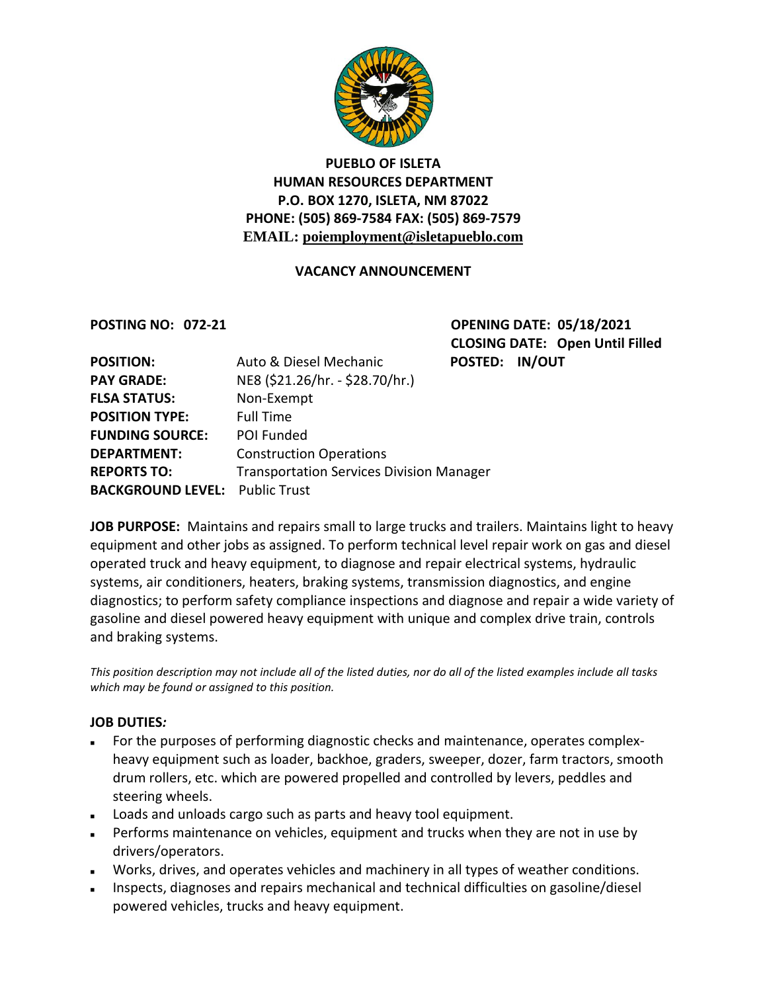

### **PUEBLO OF ISLETA HUMAN RESOURCES DEPARTMENT P.O. BOX 1270, ISLETA, NM 87022 PHONE: (505) 869-7584 FAX: (505) 869-7579 EMAIL: poiemployment@isletapueblo.com**

### **VACANCY ANNOUNCEMENT**

**POSTING NO: 072-21 OPENING DATE: 05/18/2021 CLOSING DATE: Open Until Filled ED: IN/OUT** 

| <b>POSITION:</b>                      | Auto & Diesel Mechanic                          | <b>POSTED</b> |
|---------------------------------------|-------------------------------------------------|---------------|
| <b>PAY GRADE:</b>                     | NE8 (\$21.26/hr. - \$28.70/hr.)                 |               |
| <b>FLSA STATUS:</b>                   | Non-Exempt                                      |               |
| <b>POSITION TYPE:</b>                 | <b>Full Time</b>                                |               |
| <b>FUNDING SOURCE:</b>                | POI Funded                                      |               |
| <b>DEPARTMENT:</b>                    | <b>Construction Operations</b>                  |               |
| <b>REPORTS TO:</b>                    | <b>Transportation Services Division Manager</b> |               |
| <b>BACKGROUND LEVEL: Public Trust</b> |                                                 |               |

**JOB PURPOSE:** Maintains and repairs small to large trucks and trailers. Maintains light to heavy equipment and other jobs as assigned. To perform technical level repair work on gas and diesel operated truck and heavy equipment, to diagnose and repair electrical systems, hydraulic systems, air conditioners, heaters, braking systems, transmission diagnostics, and engine diagnostics; to perform safety compliance inspections and diagnose and repair a wide variety of gasoline and diesel powered heavy equipment with unique and complex drive train, controls and braking systems.

*This position description may not include all of the listed duties, nor do all of the listed examples include all tasks which may be found or assigned to this position.*

### **JOB DUTIES***:*

- For the purposes of performing diagnostic checks and maintenance, operates complexheavy equipment such as loader, backhoe, graders, sweeper, dozer, farm tractors, smooth drum rollers, etc. which are powered propelled and controlled by levers, peddles and steering wheels.
- Loads and unloads cargo such as parts and heavy tool equipment.
- **Performs maintenance on vehicles, equipment and trucks when they are not in use by** drivers/operators.
- Works, drives, and operates vehicles and machinery in all types of weather conditions.
- Inspects, diagnoses and repairs mechanical and technical difficulties on gasoline/diesel powered vehicles, trucks and heavy equipment.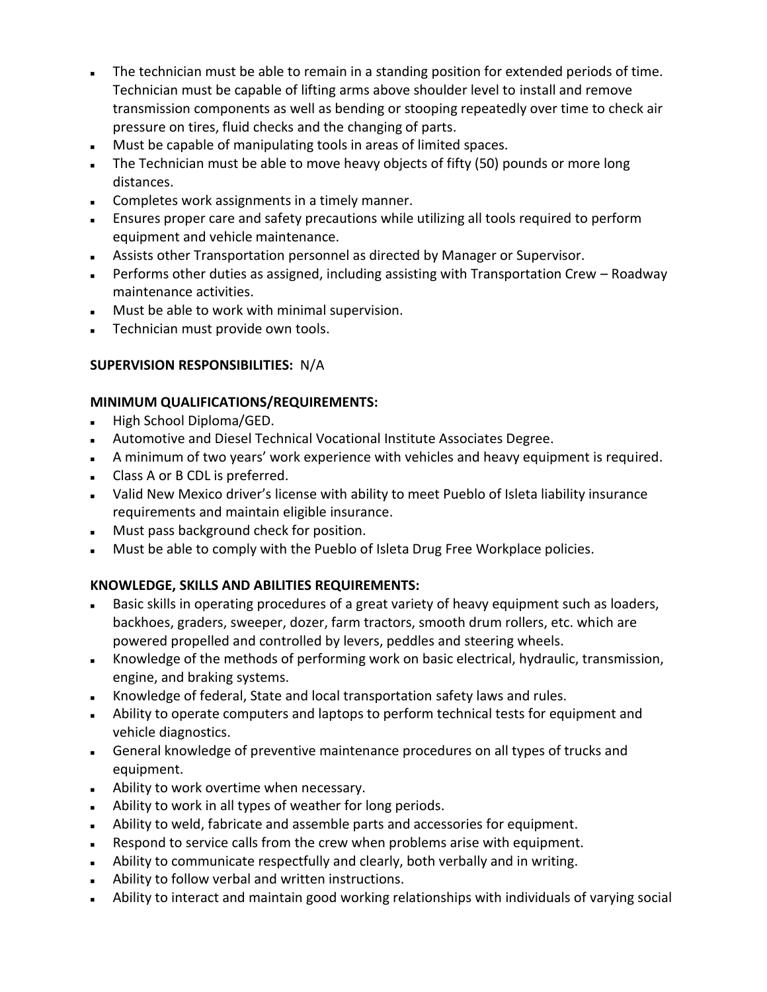- The technician must be able to remain in a standing position for extended periods of time. Technician must be capable of lifting arms above shoulder level to install and remove transmission components as well as bending or stooping repeatedly over time to check air pressure on tires, fluid checks and the changing of parts.
- Must be capable of manipulating tools in areas of limited spaces.
- The Technician must be able to move heavy objects of fifty (50) pounds or more long distances.
- **Completes work assignments in a timely manner.**
- Ensures proper care and safety precautions while utilizing all tools required to perform equipment and vehicle maintenance.
- Assists other Transportation personnel as directed by Manager or Supervisor.
- Performs other duties as assigned, including assisting with Transportation Crew Roadway maintenance activities.
- Must be able to work with minimal supervision.
- Technician must provide own tools.

## **SUPERVISION RESPONSIBILITIES:** N/A

### **MINIMUM QUALIFICATIONS/REQUIREMENTS:**

- High School Diploma/GED.
- Automotive and Diesel Technical Vocational Institute Associates Degree.
- A minimum of two years' work experience with vehicles and heavy equipment is required.
- Class A or B CDL is preferred.
- Valid New Mexico driver's license with ability to meet Pueblo of Isleta liability insurance requirements and maintain eligible insurance.
- **Must pass background check for position.**
- **Must be able to comply with the Pueblo of Isleta Drug Free Workplace policies.**

# **KNOWLEDGE, SKILLS AND ABILITIES REQUIREMENTS:**

- Basic skills in operating procedures of a great variety of heavy equipment such as loaders, backhoes, graders, sweeper, dozer, farm tractors, smooth drum rollers, etc. which are powered propelled and controlled by levers, peddles and steering wheels.
- Knowledge of the methods of performing work on basic electrical, hydraulic, transmission, engine, and braking systems.
- Knowledge of federal, State and local transportation safety laws and rules.
- Ability to operate computers and laptops to perform technical tests for equipment and vehicle diagnostics.
- General knowledge of preventive maintenance procedures on all types of trucks and equipment.
- Ability to work overtime when necessary.
- Ability to work in all types of weather for long periods.
- Ability to weld, fabricate and assemble parts and accessories for equipment.
- Respond to service calls from the crew when problems arise with equipment.
- Ability to communicate respectfully and clearly, both verbally and in writing.
- Ability to follow verbal and written instructions.
- Ability to interact and maintain good working relationships with individuals of varying social